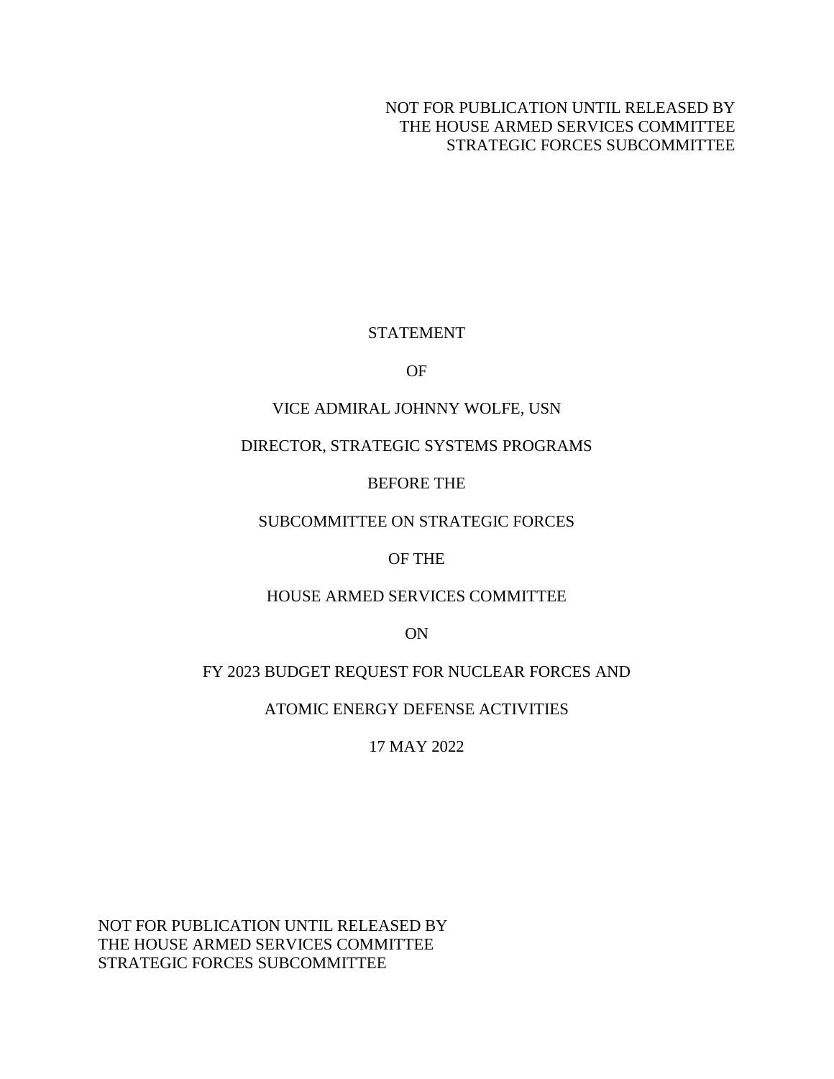NOT FOR PUBLICATION UNTIL RELEASED BY THE HOUSE ARMED SERVICES COMMITTEE STRATEGIC FORCES SUBCOMMITTEE

## STATEMENT

OF

## VICE ADMIRAL JOHNNY WOLFE, USN

## DIRECTOR, STRATEGIC SYSTEMS PROGRAMS

## BEFORE THE

## SUBCOMMITTEE ON STRATEGIC FORCES

## OF THE

## HOUSE ARMED SERVICES COMMITTEE

ON

# FY 2023 BUDGET REQUEST FOR NUCLEAR FORCES AND

## ATOMIC ENERGY DEFENSE ACTIVITIES

17 MAY 2022

NOT FOR PUBLICATION UNTIL RELEASED BY THE HOUSE ARMED SERVICES COMMITTEE STRATEGIC FORCES SUBCOMMITTEE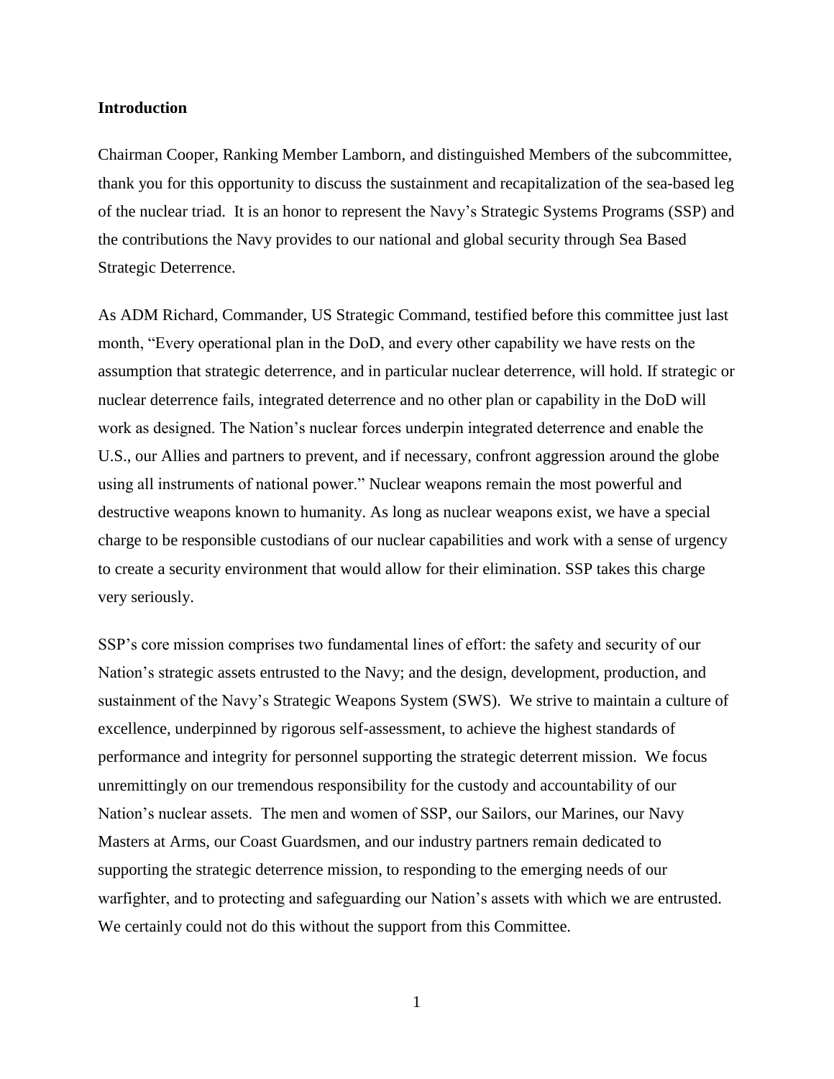#### **Introduction**

Chairman Cooper, Ranking Member Lamborn, and distinguished Members of the subcommittee, thank you for this opportunity to discuss the sustainment and recapitalization of the sea-based leg of the nuclear triad. It is an honor to represent the Navy's Strategic Systems Programs (SSP) and the contributions the Navy provides to our national and global security through Sea Based Strategic Deterrence.

As ADM Richard, Commander, US Strategic Command, testified before this committee just last month, "Every operational plan in the DoD, and every other capability we have rests on the assumption that strategic deterrence, and in particular nuclear deterrence, will hold. If strategic or nuclear deterrence fails, integrated deterrence and no other plan or capability in the DoD will work as designed. The Nation's nuclear forces underpin integrated deterrence and enable the U.S., our Allies and partners to prevent, and if necessary, confront aggression around the globe using all instruments of national power." Nuclear weapons remain the most powerful and destructive weapons known to humanity. As long as nuclear weapons exist, we have a special charge to be responsible custodians of our nuclear capabilities and work with a sense of urgency to create a security environment that would allow for their elimination. SSP takes this charge very seriously.

SSP's core mission comprises two fundamental lines of effort: the safety and security of our Nation's strategic assets entrusted to the Navy; and the design, development, production, and sustainment of the Navy's Strategic Weapons System (SWS). We strive to maintain a culture of excellence, underpinned by rigorous self-assessment, to achieve the highest standards of performance and integrity for personnel supporting the strategic deterrent mission. We focus unremittingly on our tremendous responsibility for the custody and accountability of our Nation's nuclear assets. The men and women of SSP, our Sailors, our Marines, our Navy Masters at Arms, our Coast Guardsmen, and our industry partners remain dedicated to supporting the strategic deterrence mission, to responding to the emerging needs of our warfighter, and to protecting and safeguarding our Nation's assets with which we are entrusted. We certainly could not do this without the support from this Committee.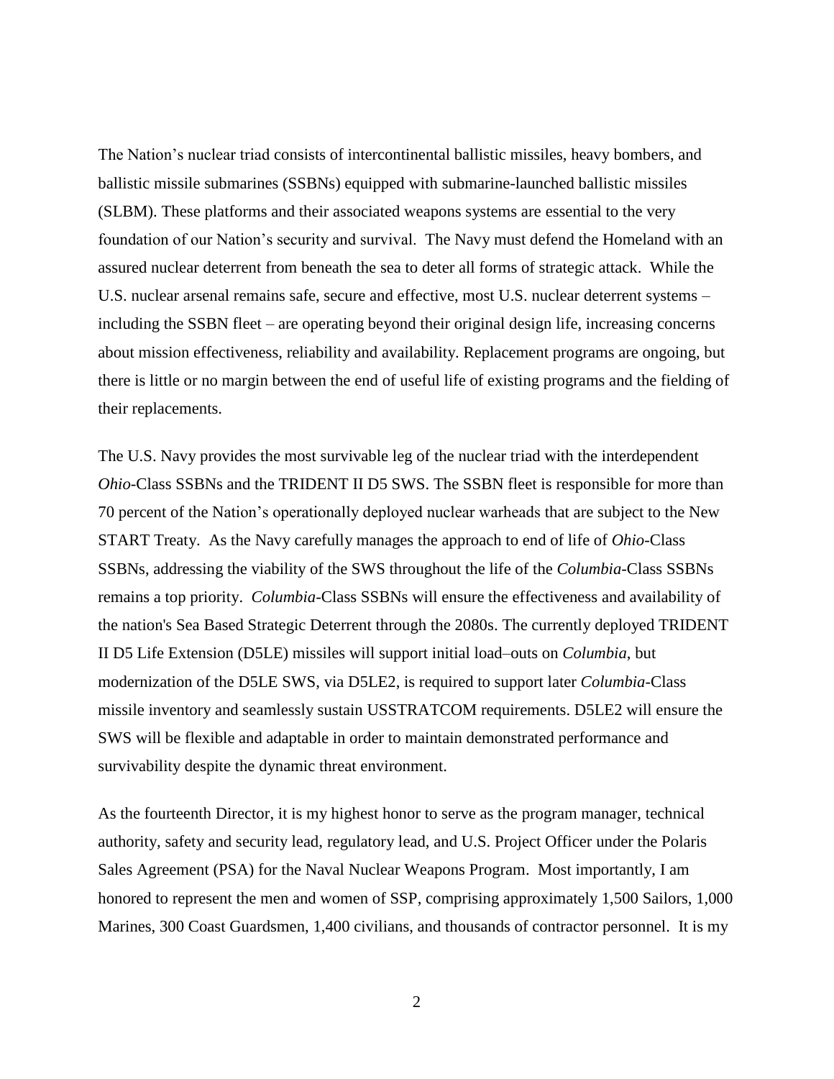The Nation's nuclear triad consists of intercontinental ballistic missiles, heavy bombers, and ballistic missile submarines (SSBNs) equipped with submarine-launched ballistic missiles (SLBM). These platforms and their associated weapons systems are essential to the very foundation of our Nation's security and survival. The Navy must defend the Homeland with an assured nuclear deterrent from beneath the sea to deter all forms of strategic attack. While the U.S. nuclear arsenal remains safe, secure and effective, most U.S. nuclear deterrent systems – including the SSBN fleet – are operating beyond their original design life, increasing concerns about mission effectiveness, reliability and availability. Replacement programs are ongoing, but there is little or no margin between the end of useful life of existing programs and the fielding of their replacements.

The U.S. Navy provides the most survivable leg of the nuclear triad with the interdependent *Ohio*-Class SSBNs and the TRIDENT II D5 SWS. The SSBN fleet is responsible for more than 70 percent of the Nation's operationally deployed nuclear warheads that are subject to the New START Treaty. As the Navy carefully manages the approach to end of life of *Ohio*-Class SSBNs, addressing the viability of the SWS throughout the life of the *Columbia*-Class SSBNs remains a top priority. *Columbia*-Class SSBNs will ensure the effectiveness and availability of the nation's Sea Based Strategic Deterrent through the 2080s. The currently deployed TRIDENT II D5 Life Extension (D5LE) missiles will support initial load–outs on *Columbia*, but modernization of the D5LE SWS, via D5LE2, is required to support later *Columbia*-Class missile inventory and seamlessly sustain USSTRATCOM requirements. D5LE2 will ensure the SWS will be flexible and adaptable in order to maintain demonstrated performance and survivability despite the dynamic threat environment.

As the fourteenth Director, it is my highest honor to serve as the program manager, technical authority, safety and security lead, regulatory lead, and U.S. Project Officer under the Polaris Sales Agreement (PSA) for the Naval Nuclear Weapons Program. Most importantly, I am honored to represent the men and women of SSP, comprising approximately 1,500 Sailors, 1,000 Marines, 300 Coast Guardsmen, 1,400 civilians, and thousands of contractor personnel. It is my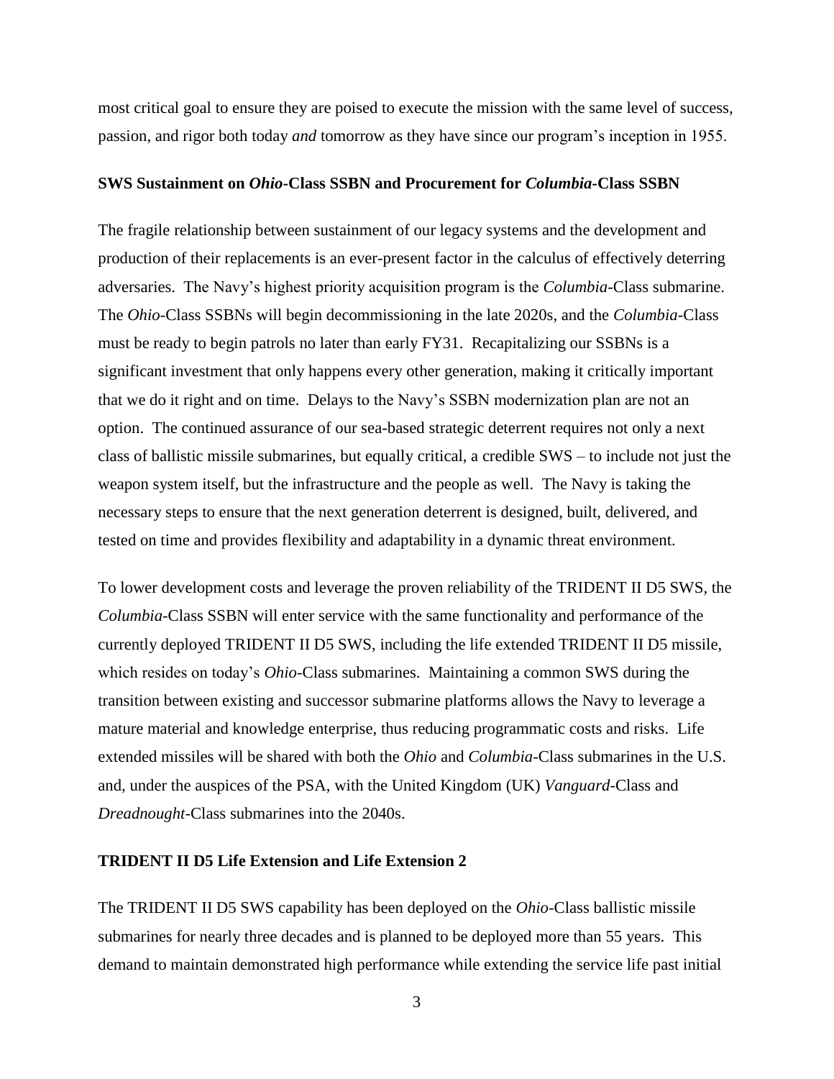most critical goal to ensure they are poised to execute the mission with the same level of success, passion, and rigor both today *and* tomorrow as they have since our program's inception in 1955.

#### **SWS Sustainment on** *Ohio***-Class SSBN and Procurement for** *Columbia-***Class SSBN**

The fragile relationship between sustainment of our legacy systems and the development and production of their replacements is an ever-present factor in the calculus of effectively deterring adversaries. The Navy's highest priority acquisition program is the *Columbia*-Class submarine. The *Ohio*-Class SSBNs will begin decommissioning in the late 2020s, and the *Columbia*-Class must be ready to begin patrols no later than early FY31. Recapitalizing our SSBNs is a significant investment that only happens every other generation, making it critically important that we do it right and on time. Delays to the Navy's SSBN modernization plan are not an option. The continued assurance of our sea-based strategic deterrent requires not only a next class of ballistic missile submarines, but equally critical, a credible SWS – to include not just the weapon system itself, but the infrastructure and the people as well. The Navy is taking the necessary steps to ensure that the next generation deterrent is designed, built, delivered, and tested on time and provides flexibility and adaptability in a dynamic threat environment.

To lower development costs and leverage the proven reliability of the TRIDENT II D5 SWS, the *Columbia*-Class SSBN will enter service with the same functionality and performance of the currently deployed TRIDENT II D5 SWS, including the life extended TRIDENT II D5 missile, which resides on today's *Ohio*-Class submarines. Maintaining a common SWS during the transition between existing and successor submarine platforms allows the Navy to leverage a mature material and knowledge enterprise, thus reducing programmatic costs and risks. Life extended missiles will be shared with both the *Ohio* and *Columbia*-Class submarines in the U.S. and, under the auspices of the PSA, with the United Kingdom (UK) *Vanguard*-Class and *Dreadnought*-Class submarines into the 2040s.

### **TRIDENT II D5 Life Extension and Life Extension 2**

The TRIDENT II D5 SWS capability has been deployed on the *Ohio*-Class ballistic missile submarines for nearly three decades and is planned to be deployed more than 55 years. This demand to maintain demonstrated high performance while extending the service life past initial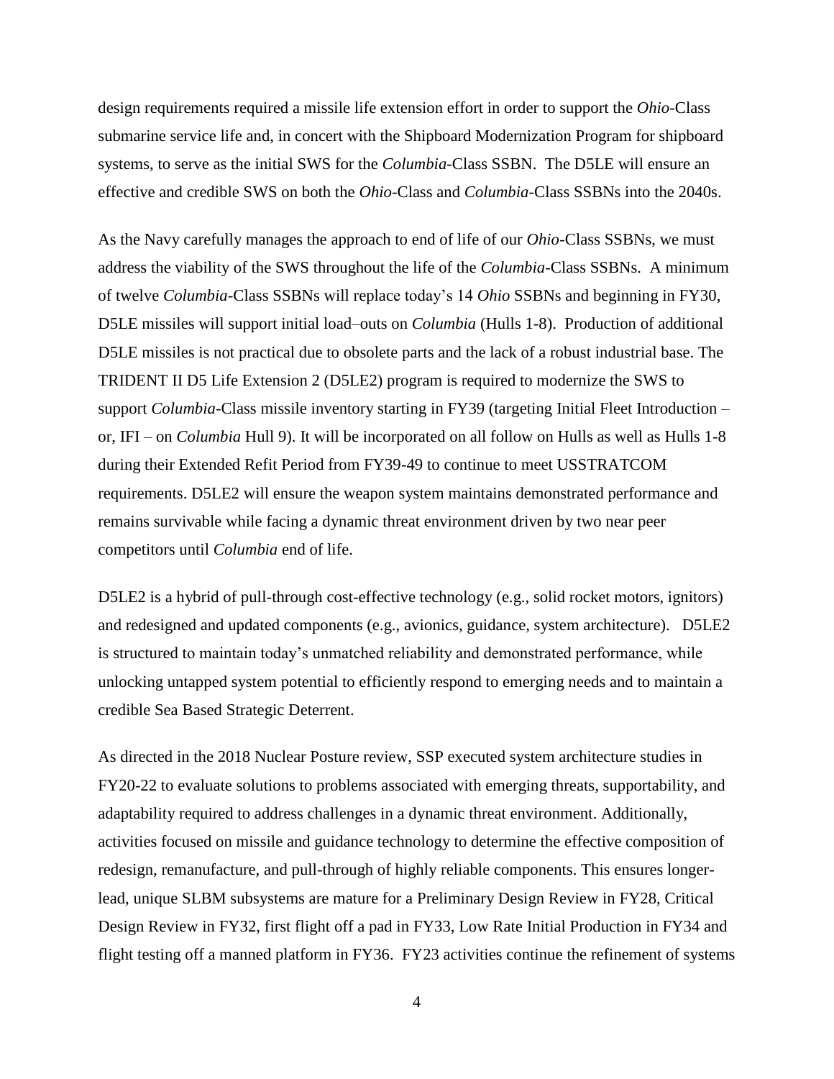design requirements required a missile life extension effort in order to support the *Ohio*-Class submarine service life and, in concert with the Shipboard Modernization Program for shipboard systems, to serve as the initial SWS for the *Columbia-*Class SSBN. The D5LE will ensure an effective and credible SWS on both the *Ohio-*Class and *Columbia-*Class SSBNs into the 2040s.

As the Navy carefully manages the approach to end of life of our *Ohio-*Class SSBNs, we must address the viability of the SWS throughout the life of the *Columbia-*Class SSBNs. A minimum of twelve *Columbia-*Class SSBNs will replace today's 14 *Ohio* SSBNs and beginning in FY30, D5LE missiles will support initial load–outs on *Columbia* (Hulls 1-8). Production of additional D5LE missiles is not practical due to obsolete parts and the lack of a robust industrial base. The TRIDENT II D5 Life Extension 2 (D5LE2) program is required to modernize the SWS to support *Columbia-*Class missile inventory starting in FY39 (targeting Initial Fleet Introduction – or, IFI – on *Columbia* Hull 9). It will be incorporated on all follow on Hulls as well as Hulls 1-8 during their Extended Refit Period from FY39-49 to continue to meet USSTRATCOM requirements. D5LE2 will ensure the weapon system maintains demonstrated performance and remains survivable while facing a dynamic threat environment driven by two near peer competitors until *Columbia* end of life.

D5LE2 is a hybrid of pull-through cost-effective technology (e.g., solid rocket motors, ignitors) and redesigned and updated components (e.g., avionics, guidance, system architecture). D5LE2 is structured to maintain today's unmatched reliability and demonstrated performance, while unlocking untapped system potential to efficiently respond to emerging needs and to maintain a credible Sea Based Strategic Deterrent.

As directed in the 2018 Nuclear Posture review, SSP executed system architecture studies in FY20-22 to evaluate solutions to problems associated with emerging threats, supportability, and adaptability required to address challenges in a dynamic threat environment. Additionally, activities focused on missile and guidance technology to determine the effective composition of redesign, remanufacture, and pull-through of highly reliable components. This ensures longerlead, unique SLBM subsystems are mature for a Preliminary Design Review in FY28, Critical Design Review in FY32, first flight off a pad in FY33, Low Rate Initial Production in FY34 and flight testing off a manned platform in FY36. FY23 activities continue the refinement of systems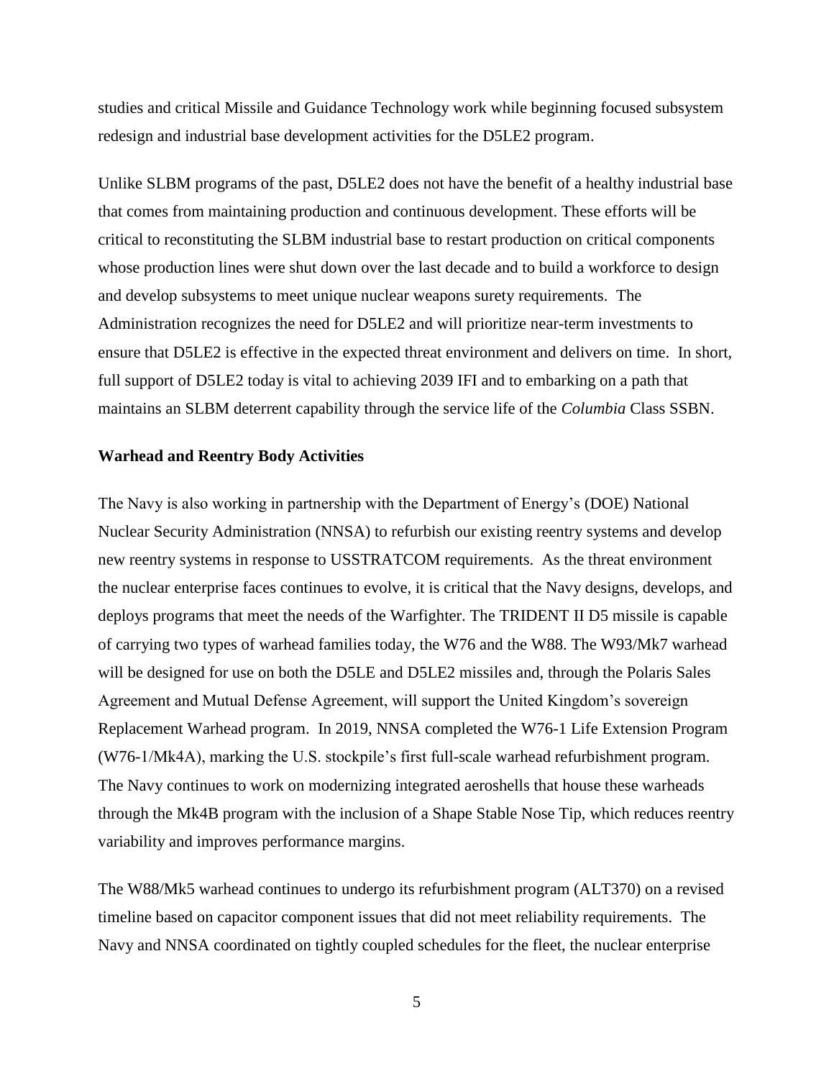studies and critical Missile and Guidance Technology work while beginning focused subsystem redesign and industrial base development activities for the D5LE2 program.

Unlike SLBM programs of the past, D5LE2 does not have the benefit of a healthy industrial base that comes from maintaining production and continuous development. These efforts will be critical to reconstituting the SLBM industrial base to restart production on critical components whose production lines were shut down over the last decade and to build a workforce to design and develop subsystems to meet unique nuclear weapons surety requirements. The Administration recognizes the need for D5LE2 and will prioritize near-term investments to ensure that D5LE2 is effective in the expected threat environment and delivers on time. In short, full support of D5LE2 today is vital to achieving 2039 IFI and to embarking on a path that maintains an SLBM deterrent capability through the service life of the *Columbia* Class SSBN.

#### **Warhead and Reentry Body Activities**

The Navy is also working in partnership with the Department of Energy's (DOE) National Nuclear Security Administration (NNSA) to refurbish our existing reentry systems and develop new reentry systems in response to USSTRATCOM requirements. As the threat environment the nuclear enterprise faces continues to evolve, it is critical that the Navy designs, develops, and deploys programs that meet the needs of the Warfighter. The TRIDENT II D5 missile is capable of carrying two types of warhead families today, the W76 and the W88. The W93/Mk7 warhead will be designed for use on both the D5LE and D5LE2 missiles and, through the Polaris Sales Agreement and Mutual Defense Agreement, will support the United Kingdom's sovereign Replacement Warhead program. In 2019, NNSA completed the W76-1 Life Extension Program (W76-1/Mk4A), marking the U.S. stockpile's first full-scale warhead refurbishment program. The Navy continues to work on modernizing integrated aeroshells that house these warheads through the Mk4B program with the inclusion of a Shape Stable Nose Tip, which reduces reentry variability and improves performance margins.

The W88/Mk5 warhead continues to undergo its refurbishment program (ALT370) on a revised timeline based on capacitor component issues that did not meet reliability requirements. The Navy and NNSA coordinated on tightly coupled schedules for the fleet, the nuclear enterprise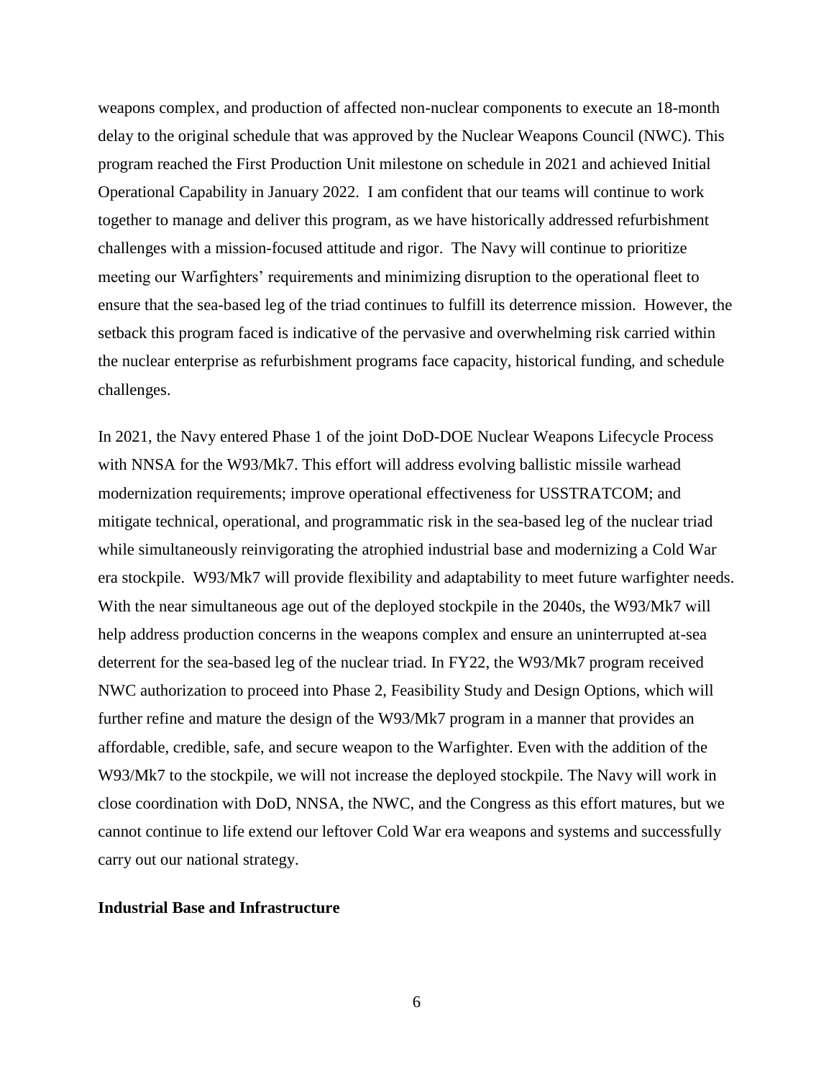weapons complex, and production of affected non-nuclear components to execute an 18-month delay to the original schedule that was approved by the Nuclear Weapons Council (NWC). This program reached the First Production Unit milestone on schedule in 2021 and achieved Initial Operational Capability in January 2022. I am confident that our teams will continue to work together to manage and deliver this program, as we have historically addressed refurbishment challenges with a mission-focused attitude and rigor. The Navy will continue to prioritize meeting our Warfighters' requirements and minimizing disruption to the operational fleet to ensure that the sea-based leg of the triad continues to fulfill its deterrence mission. However, the setback this program faced is indicative of the pervasive and overwhelming risk carried within the nuclear enterprise as refurbishment programs face capacity, historical funding, and schedule challenges.

In 2021, the Navy entered Phase 1 of the joint DoD-DOE Nuclear Weapons Lifecycle Process with NNSA for the W93/Mk7. This effort will address evolving ballistic missile warhead modernization requirements; improve operational effectiveness for USSTRATCOM; and mitigate technical, operational, and programmatic risk in the sea-based leg of the nuclear triad while simultaneously reinvigorating the atrophied industrial base and modernizing a Cold War era stockpile. W93/Mk7 will provide flexibility and adaptability to meet future warfighter needs. With the near simultaneous age out of the deployed stockpile in the 2040s, the W93/Mk7 will help address production concerns in the weapons complex and ensure an uninterrupted at-sea deterrent for the sea-based leg of the nuclear triad. In FY22, the W93/Mk7 program received NWC authorization to proceed into Phase 2, Feasibility Study and Design Options, which will further refine and mature the design of the W93/Mk7 program in a manner that provides an affordable, credible, safe, and secure weapon to the Warfighter. Even with the addition of the W93/Mk7 to the stockpile, we will not increase the deployed stockpile. The Navy will work in close coordination with DoD, NNSA, the NWC, and the Congress as this effort matures, but we cannot continue to life extend our leftover Cold War era weapons and systems and successfully carry out our national strategy.

## **Industrial Base and Infrastructure**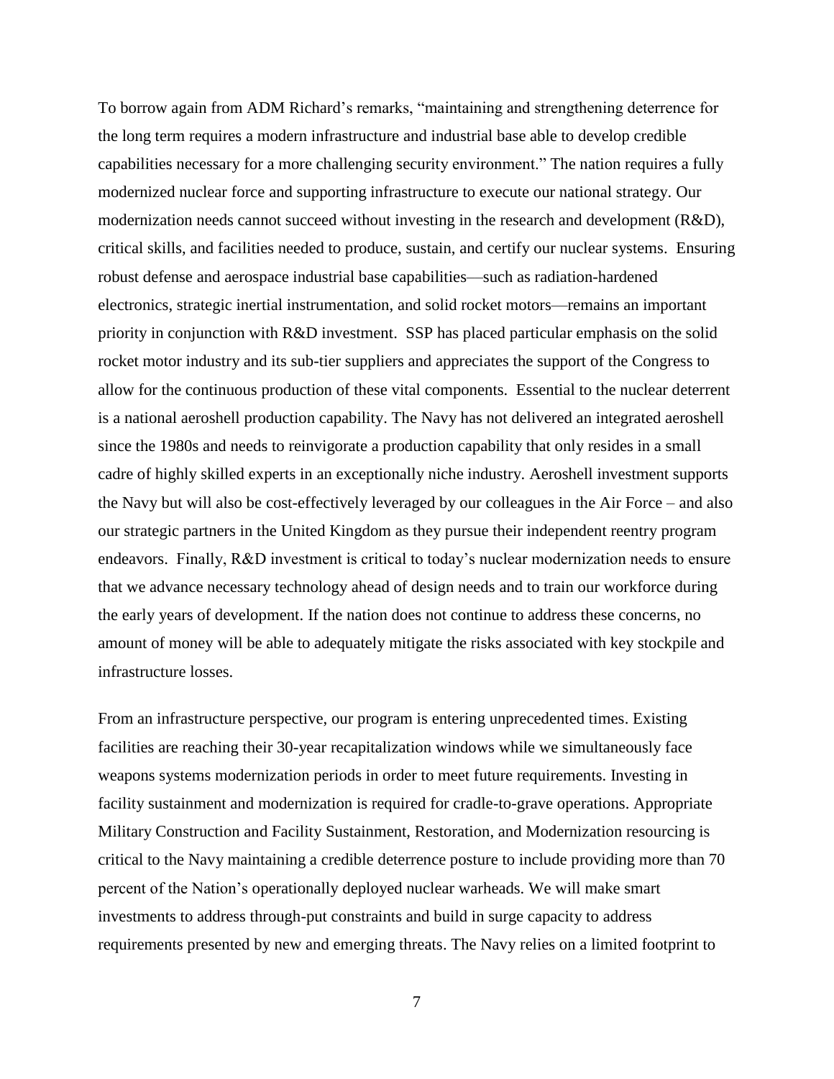To borrow again from ADM Richard's remarks, "maintaining and strengthening deterrence for the long term requires a modern infrastructure and industrial base able to develop credible capabilities necessary for a more challenging security environment." The nation requires a fully modernized nuclear force and supporting infrastructure to execute our national strategy. Our modernization needs cannot succeed without investing in the research and development (R&D), critical skills, and facilities needed to produce, sustain, and certify our nuclear systems. Ensuring robust defense and aerospace industrial base capabilities––such as radiation-hardened electronics, strategic inertial instrumentation, and solid rocket motors––remains an important priority in conjunction with R&D investment. SSP has placed particular emphasis on the solid rocket motor industry and its sub-tier suppliers and appreciates the support of the Congress to allow for the continuous production of these vital components. Essential to the nuclear deterrent is a national aeroshell production capability. The Navy has not delivered an integrated aeroshell since the 1980s and needs to reinvigorate a production capability that only resides in a small cadre of highly skilled experts in an exceptionally niche industry. Aeroshell investment supports the Navy but will also be cost-effectively leveraged by our colleagues in the Air Force – and also our strategic partners in the United Kingdom as they pursue their independent reentry program endeavors. Finally, R&D investment is critical to today's nuclear modernization needs to ensure that we advance necessary technology ahead of design needs and to train our workforce during the early years of development. If the nation does not continue to address these concerns, no amount of money will be able to adequately mitigate the risks associated with key stockpile and infrastructure losses.

From an infrastructure perspective, our program is entering unprecedented times. Existing facilities are reaching their 30-year recapitalization windows while we simultaneously face weapons systems modernization periods in order to meet future requirements. Investing in facility sustainment and modernization is required for cradle-to-grave operations. Appropriate Military Construction and Facility Sustainment, Restoration, and Modernization resourcing is critical to the Navy maintaining a credible deterrence posture to include providing more than 70 percent of the Nation's operationally deployed nuclear warheads. We will make smart investments to address through-put constraints and build in surge capacity to address requirements presented by new and emerging threats. The Navy relies on a limited footprint to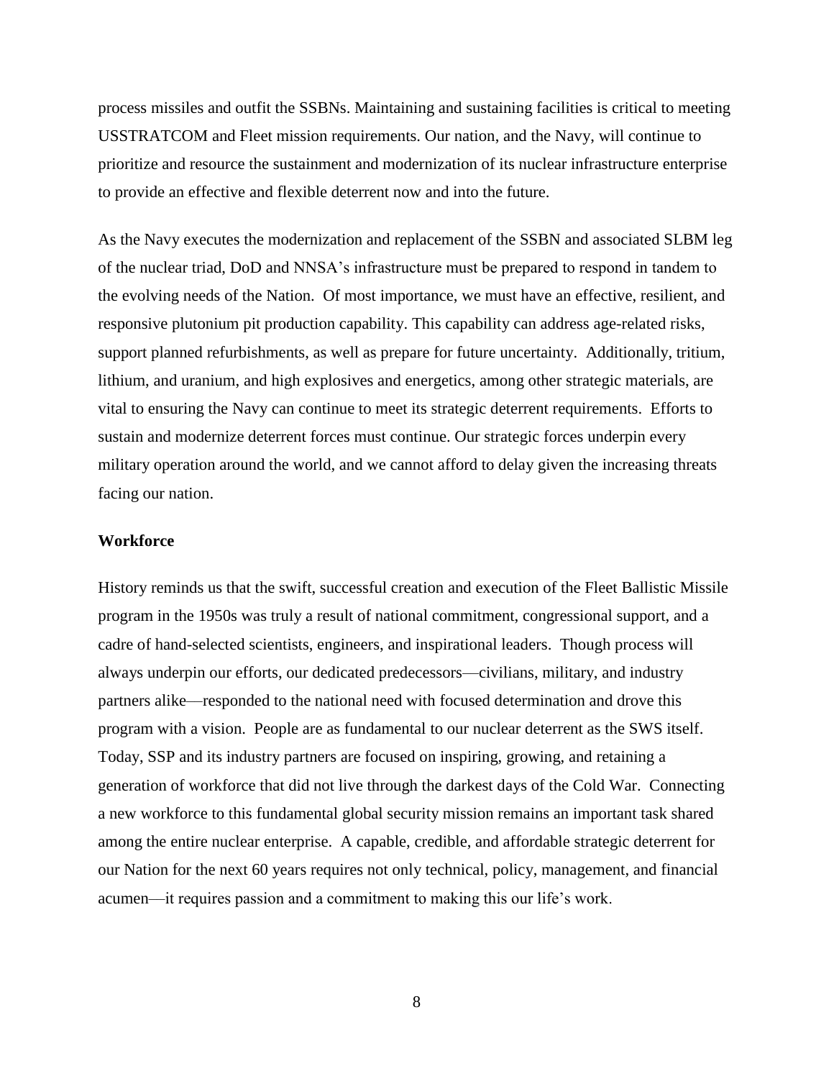process missiles and outfit the SSBNs. Maintaining and sustaining facilities is critical to meeting USSTRATCOM and Fleet mission requirements. Our nation, and the Navy, will continue to prioritize and resource the sustainment and modernization of its nuclear infrastructure enterprise to provide an effective and flexible deterrent now and into the future.

As the Navy executes the modernization and replacement of the SSBN and associated SLBM leg of the nuclear triad, DoD and NNSA's infrastructure must be prepared to respond in tandem to the evolving needs of the Nation. Of most importance, we must have an effective, resilient, and responsive plutonium pit production capability. This capability can address age-related risks, support planned refurbishments, as well as prepare for future uncertainty. Additionally, tritium, lithium, and uranium, and high explosives and energetics, among other strategic materials, are vital to ensuring the Navy can continue to meet its strategic deterrent requirements. Efforts to sustain and modernize deterrent forces must continue. Our strategic forces underpin every military operation around the world, and we cannot afford to delay given the increasing threats facing our nation.

## **Workforce**

History reminds us that the swift, successful creation and execution of the Fleet Ballistic Missile program in the 1950s was truly a result of national commitment, congressional support, and a cadre of hand-selected scientists, engineers, and inspirational leaders. Though process will always underpin our efforts, our dedicated predecessors––civilians, military, and industry partners alike––responded to the national need with focused determination and drove this program with a vision. People are as fundamental to our nuclear deterrent as the SWS itself. Today, SSP and its industry partners are focused on inspiring, growing, and retaining a generation of workforce that did not live through the darkest days of the Cold War. Connecting a new workforce to this fundamental global security mission remains an important task shared among the entire nuclear enterprise. A capable, credible, and affordable strategic deterrent for our Nation for the next 60 years requires not only technical, policy, management, and financial acumen––it requires passion and a commitment to making this our life's work.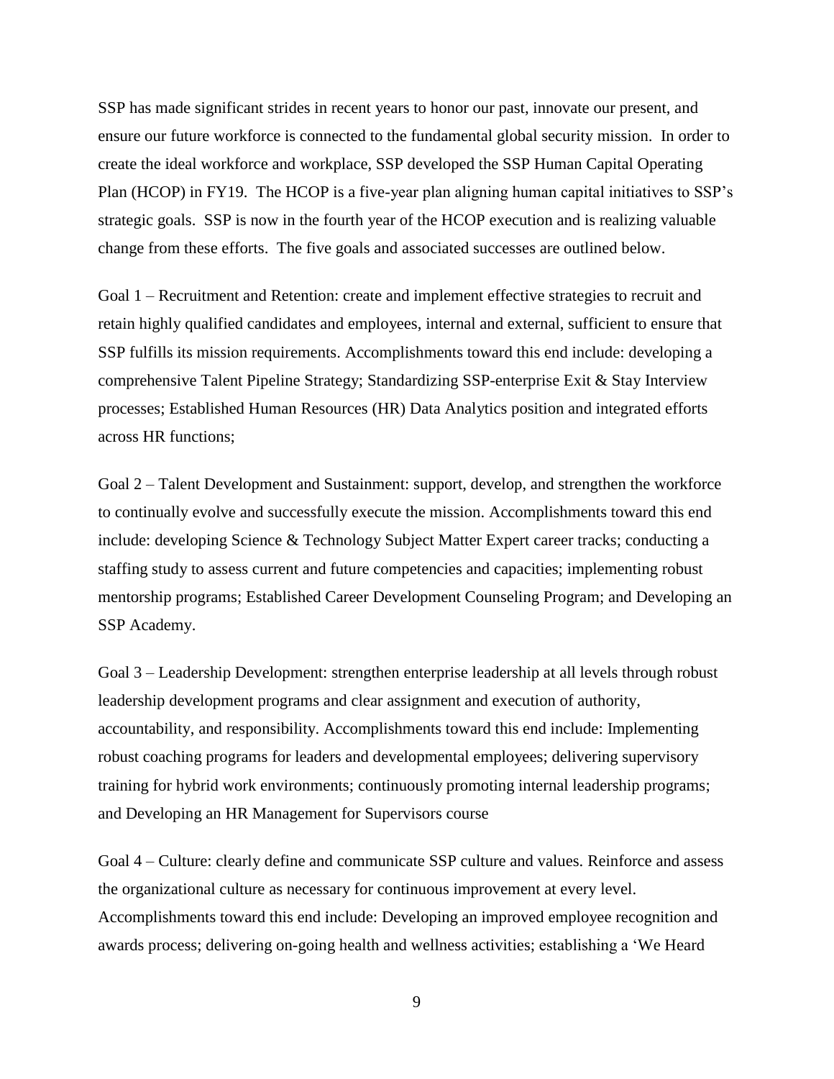SSP has made significant strides in recent years to honor our past, innovate our present, and ensure our future workforce is connected to the fundamental global security mission. In order to create the ideal workforce and workplace, SSP developed the SSP Human Capital Operating Plan (HCOP) in FY19. The HCOP is a five-year plan aligning human capital initiatives to SSP's strategic goals. SSP is now in the fourth year of the HCOP execution and is realizing valuable change from these efforts. The five goals and associated successes are outlined below.

Goal 1 – Recruitment and Retention: create and implement effective strategies to recruit and retain highly qualified candidates and employees, internal and external, sufficient to ensure that SSP fulfills its mission requirements. Accomplishments toward this end include: developing a comprehensive Talent Pipeline Strategy; Standardizing SSP-enterprise Exit & Stay Interview processes; Established Human Resources (HR) Data Analytics position and integrated efforts across HR functions;

Goal 2 – Talent Development and Sustainment: support, develop, and strengthen the workforce to continually evolve and successfully execute the mission. Accomplishments toward this end include: developing Science & Technology Subject Matter Expert career tracks; conducting a staffing study to assess current and future competencies and capacities; implementing robust mentorship programs; Established Career Development Counseling Program; and Developing an SSP Academy.

Goal 3 – Leadership Development: strengthen enterprise leadership at all levels through robust leadership development programs and clear assignment and execution of authority, accountability, and responsibility. Accomplishments toward this end include: Implementing robust coaching programs for leaders and developmental employees; delivering supervisory training for hybrid work environments; continuously promoting internal leadership programs; and Developing an HR Management for Supervisors course

Goal 4 – Culture: clearly define and communicate SSP culture and values. Reinforce and assess the organizational culture as necessary for continuous improvement at every level. Accomplishments toward this end include: Developing an improved employee recognition and awards process; delivering on-going health and wellness activities; establishing a 'We Heard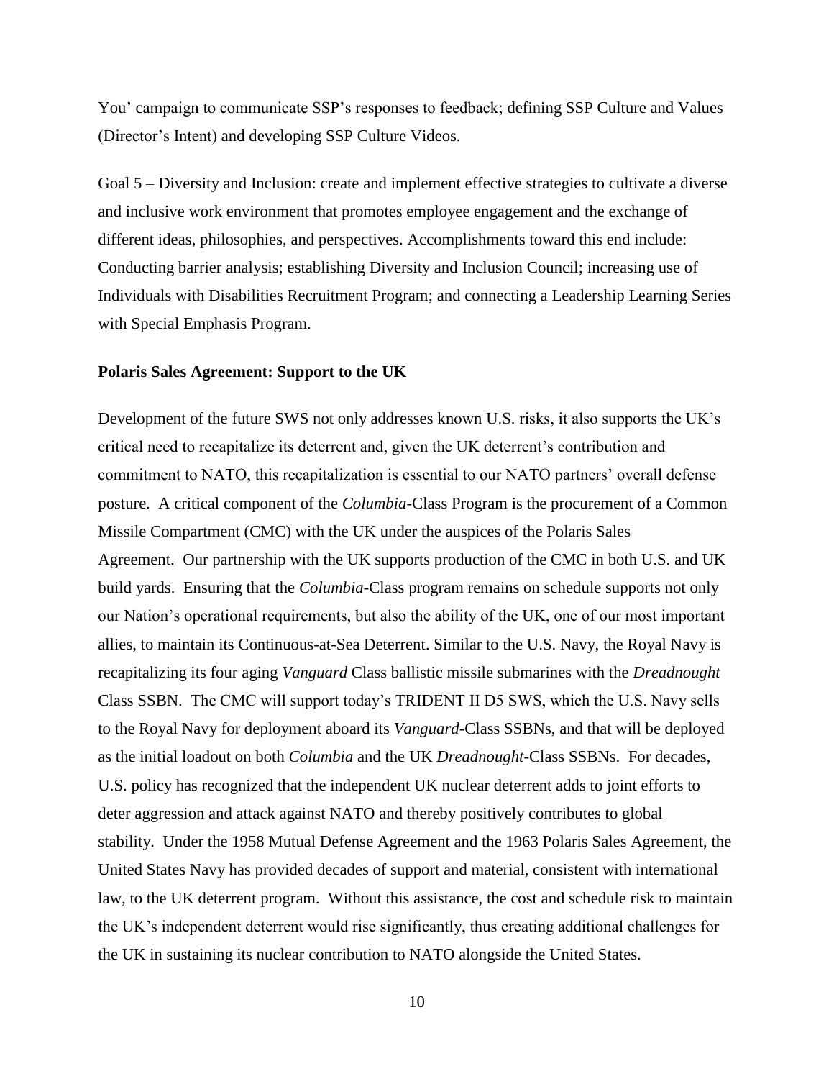You' campaign to communicate SSP's responses to feedback; defining SSP Culture and Values (Director's Intent) and developing SSP Culture Videos.

Goal 5 – Diversity and Inclusion: create and implement effective strategies to cultivate a diverse and inclusive work environment that promotes employee engagement and the exchange of different ideas, philosophies, and perspectives. Accomplishments toward this end include: Conducting barrier analysis; establishing Diversity and Inclusion Council; increasing use of Individuals with Disabilities Recruitment Program; and connecting a Leadership Learning Series with Special Emphasis Program.

#### **Polaris Sales Agreement: Support to the UK**

Development of the future SWS not only addresses known U.S. risks, it also supports the UK's critical need to recapitalize its deterrent and, given the UK deterrent's contribution and commitment to NATO, this recapitalization is essential to our NATO partners' overall defense posture. A critical component of the *Columbia*-Class Program is the procurement of a Common Missile Compartment (CMC) with the UK under the auspices of the Polaris Sales Agreement. Our partnership with the UK supports production of the CMC in both U.S. and UK build yards. Ensuring that the *Columbia-*Class program remains on schedule supports not only our Nation's operational requirements, but also the ability of the UK, one of our most important allies, to maintain its Continuous-at-Sea Deterrent. Similar to the U.S. Navy, the Royal Navy is recapitalizing its four aging *Vanguard* Class ballistic missile submarines with the *Dreadnought*  Class SSBN. The CMC will support today's TRIDENT II D5 SWS, which the U.S. Navy sells to the Royal Navy for deployment aboard its *Vanguard-*Class SSBNs, and that will be deployed as the initial loadout on both *Columbia* and the UK *Dreadnought-*Class SSBNs. For decades, U.S. policy has recognized that the independent UK nuclear deterrent adds to joint efforts to deter aggression and attack against NATO and thereby positively contributes to global stability. Under the 1958 Mutual Defense Agreement and the 1963 Polaris Sales Agreement, the United States Navy has provided decades of support and material, consistent with international law, to the UK deterrent program. Without this assistance, the cost and schedule risk to maintain the UK's independent deterrent would rise significantly, thus creating additional challenges for the UK in sustaining its nuclear contribution to NATO alongside the United States.